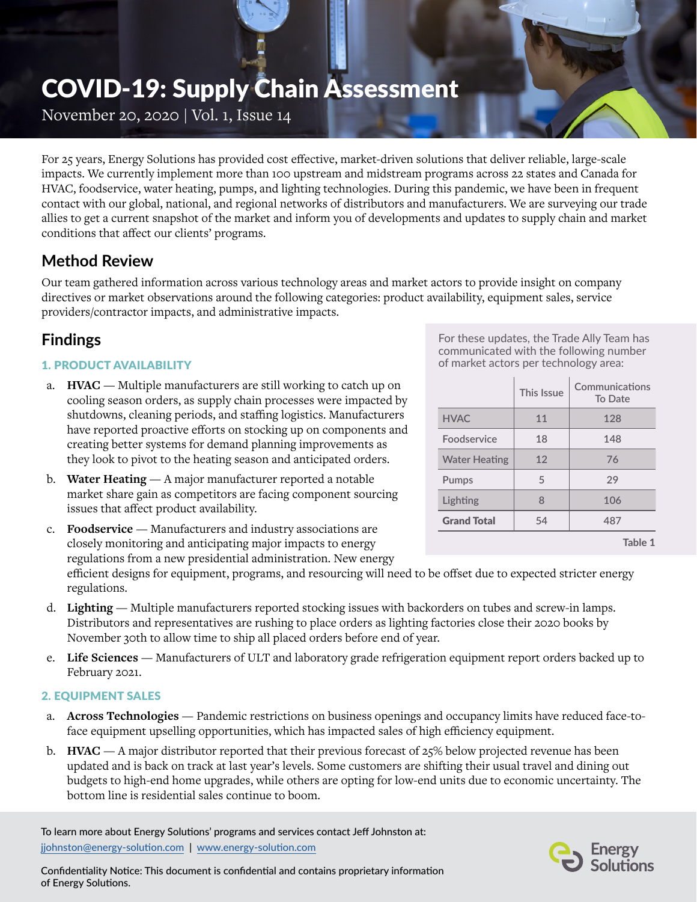# COVID-19: Supply Chain Assessment

November 20, 2020 | Vol. 1, Issue 14

For 25 years, Energy Solutions has provided cost effective, market-driven solutions that deliver reliable, large-scale impacts. We currently implement more than 100 upstream and midstream programs across 22 states and Canada for HVAC, foodservice, water heating, pumps, and lighting technologies. During this pandemic, we have been in frequent contact with our global, national, and regional networks of distributors and manufacturers. We are surveying our trade allies to get a current snapshot of the market and inform you of developments and updates to supply chain and market conditions that affect our clients' programs.

## **Method Review**

Our team gathered information across various technology areas and market actors to provide insight on company directives or market observations around the following categories: product availability, equipment sales, service providers/contractor impacts, and administrative impacts.

## **Findings**

#### 1. PRODUCT AVAILABILITY

- a. **HVAC**  Multiple manufacturers are still working to catch up on cooling season orders, as supply chain processes were impacted by shutdowns, cleaning periods, and staffing logistics. Manufacturers have reported proactive efforts on stocking up on components and creating better systems for demand planning improvements as they look to pivot to the heating season and anticipated orders.
- b. **Water Heating** A major manufacturer reported a notable market share gain as competitors are facing component sourcing issues that affect product availability.
- c. **Foodservice**  Manufacturers and industry associations are closely monitoring and anticipating major impacts to energy regulations from a new presidential administration. New energy

efficient designs for equipment, programs, and resourcing will need to be offset due to expected stricter energy regulations.

- d. **Lighting**  Multiple manufacturers reported stocking issues with backorders on tubes and screw-in lamps. Distributors and representatives are rushing to place orders as lighting factories close their 2020 books by November 30th to allow time to ship all placed orders before end of year.
- e. **Life Sciences**  Manufacturers of ULT and laboratory grade refrigeration equipment report orders backed up to February 2021.

#### 2. EQUIPMENT SALES

- a. **Across Technologies** Pandemic restrictions on business openings and occupancy limits have reduced face-toface equipment upselling opportunities, which has impacted sales of high efficiency equipment.
- b. **HVAC**  A major distributor reported that their previous forecast of 25% below projected revenue has been updated and is back on track at last year's levels. Some customers are shifting their usual travel and dining out budgets to high-end home upgrades, while others are opting for low-end units due to economic uncertainty. The bottom line is residential sales continue to boom.

To learn more about Energy Solutions' programs and services contact Jeff Johnston at: [jjohnston@energy-solution.com](mailto:jjohnston%40energy-solution.com?subject=) | [www.energy-solution.com](http://www.energy-solution.com)

For these updates, the Trade Ally Team has communicated with the following number of market actors per technology area:

|                      | This Issue | Communications<br>To Date |
|----------------------|------------|---------------------------|
| <b>HVAC</b>          | 11         | 128                       |
| Foodservice          | 18         | 148                       |
| <b>Water Heating</b> | 12         | 76                        |
| <b>Pumps</b>         | 5          | 29                        |
| Lighting             | 8          | 106                       |
| <b>Grand Total</b>   | 54         | 487                       |
|                      |            | Table 1                   |